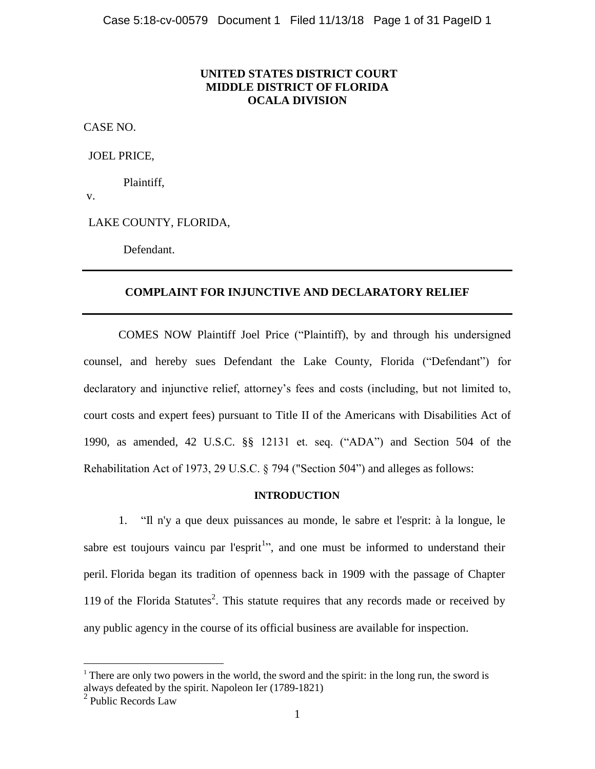### **UNITED STATES DISTRICT COURT MIDDLE DISTRICT OF FLORIDA OCALA DIVISION**

CASE NO.

JOEL PRICE,

Plaintiff,

v.

LAKE COUNTY, FLORIDA,

Defendant.

#### **COMPLAINT FOR INJUNCTIVE AND DECLARATORY RELIEF**

COMES NOW Plaintiff Joel Price ("Plaintiff), by and through his undersigned counsel, and hereby sues Defendant the Lake County, Florida ("Defendant") for declaratory and injunctive relief, attorney"s fees and costs (including, but not limited to, court costs and expert fees) pursuant to Title II of the Americans with Disabilities Act of 1990, as amended, 42 U.S.C. §§ 12131 et. seq. ("ADA") and Section 504 of the Rehabilitation Act of 1973, 29 U.S.C. § 794 ("Section 504") and alleges as follows:

#### **INTRODUCTION**

1. "Il n'y a que deux puissances au monde, le sabre et l'esprit: à la longue, le sabre est toujours vaincu par l'esprit<sup>1</sup>", and one must be informed to understand their peril. Florida began its tradition of openness back in 1909 with the passage of Chapter 119 of the Florida Statutes<sup>2</sup>. This statute requires that any records made or received by any public agency in the course of its official business are available for inspection.

<sup>&</sup>lt;sup>1</sup> There are only two powers in the world, the sword and the spirit: in the long run, the sword is always defeated by the spirit. Napoleon Ier (1789-1821)

<sup>&</sup>lt;sup>2</sup> Public Records Law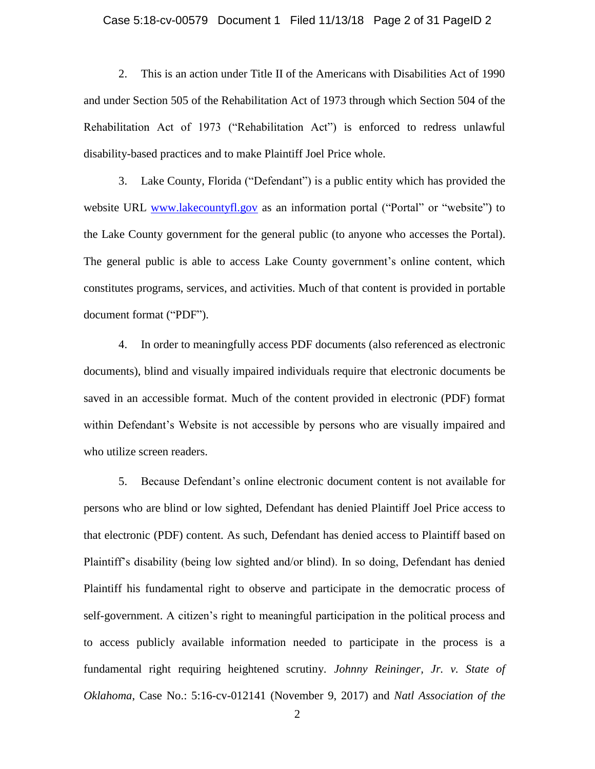#### Case 5:18-cv-00579 Document 1 Filed 11/13/18 Page 2 of 31 PageID 2

2. This is an action under Title II of the Americans with Disabilities Act of 1990 and under Section 505 of the Rehabilitation Act of 1973 through which Section 504 of the Rehabilitation Act of 1973 ("Rehabilitation Act") is enforced to redress unlawful disability-based practices and to make Plaintiff Joel Price whole.

3. Lake County, Florida ("Defendant") is a public entity which has provided the website URL [www.lakecountyfl.gov](http://www.lakecountyfl.gov/) as an information portal ("Portal" or "website") to the Lake County government for the general public (to anyone who accesses the Portal). The general public is able to access Lake County government's online content, which constitutes programs, services, and activities. Much of that content is provided in portable document format ("PDF").

4. In order to meaningfully access PDF documents (also referenced as electronic documents), blind and visually impaired individuals require that electronic documents be saved in an accessible format. Much of the content provided in electronic (PDF) format within Defendant's Website is not accessible by persons who are visually impaired and who utilize screen readers.

5. Because Defendant"s online electronic document content is not available for persons who are blind or low sighted, Defendant has denied Plaintiff Joel Price access to that electronic (PDF) content. As such, Defendant has denied access to Plaintiff based on Plaintiff"s disability (being low sighted and/or blind). In so doing, Defendant has denied Plaintiff his fundamental right to observe and participate in the democratic process of self-government. A citizen's right to meaningful participation in the political process and to access publicly available information needed to participate in the process is a fundamental right requiring heightened scrutiny. *Johnny Reininger, Jr. v. State of Oklahoma*, Case No.: 5:16-cv-012141 (November 9, 2017) and *Natl Association of the*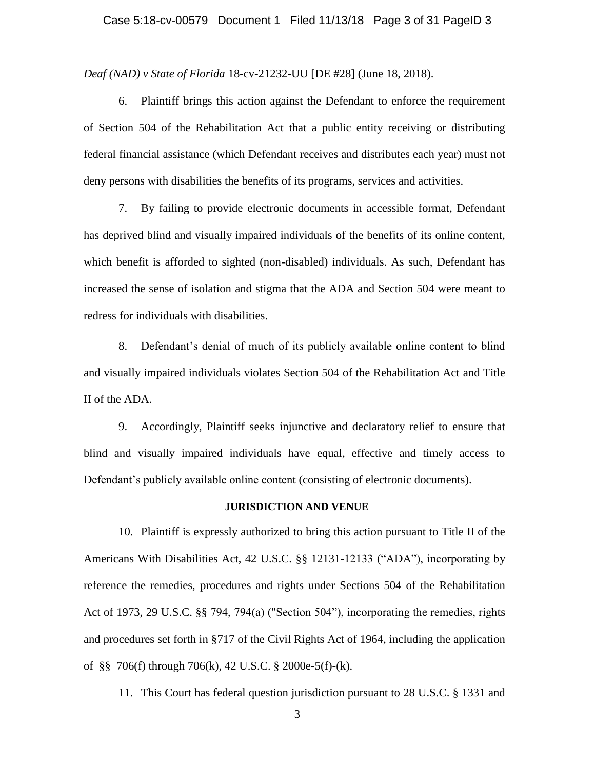*Deaf (NAD) v State of Florida* 18-cv-21232-UU [DE #28] (June 18, 2018).

6. Plaintiff brings this action against the Defendant to enforce the requirement of Section 504 of the Rehabilitation Act that a public entity receiving or distributing federal financial assistance (which Defendant receives and distributes each year) must not deny persons with disabilities the benefits of its programs, services and activities.

7. By failing to provide electronic documents in accessible format, Defendant has deprived blind and visually impaired individuals of the benefits of its online content, which benefit is afforded to sighted (non-disabled) individuals. As such, Defendant has increased the sense of isolation and stigma that the ADA and Section 504 were meant to redress for individuals with disabilities.

8. Defendant"s denial of much of its publicly available online content to blind and visually impaired individuals violates Section 504 of the Rehabilitation Act and Title II of the ADA.

9. Accordingly, Plaintiff seeks injunctive and declaratory relief to ensure that blind and visually impaired individuals have equal, effective and timely access to Defendant"s publicly available online content (consisting of electronic documents).

#### **JURISDICTION AND VENUE**

10. Plaintiff is expressly authorized to bring this action pursuant to Title II of the Americans With Disabilities Act, 42 U.S.C. §§ 12131-12133 ("ADA"), incorporating by reference the remedies, procedures and rights under Sections 504 of the Rehabilitation Act of 1973, 29 U.S.C. §§ 794, 794(a) ("Section 504"), incorporating the remedies, rights and procedures set forth in §717 of the Civil Rights Act of 1964, including the application of §§ 706(f) through 706(k), 42 U.S.C. § 2000e-5(f)-(k).

11. This Court has federal question jurisdiction pursuant to 28 U.S.C. § 1331 and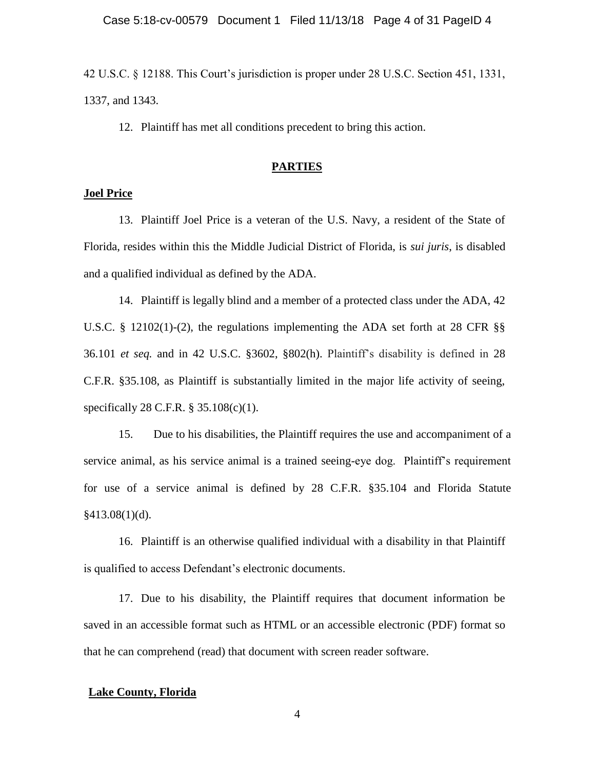42 U.S.C. § 12188. This Court"s jurisdiction is proper under 28 U.S.C. Section 451, 1331, 1337, and 1343.

12. Plaintiff has met all conditions precedent to bring this action.

#### **PARTIES**

#### **Joel Price**

13. Plaintiff Joel Price is a veteran of the U.S. Navy, a resident of the State of Florida, resides within this the Middle Judicial District of Florida, is *sui juris*, is disabled and a qualified individual as defined by the ADA.

14. Plaintiff is legally blind and a member of a protected class under the ADA, 42 U.S.C. § 12102(1)-(2), the regulations implementing the ADA set forth at 28 CFR §§ 36.101 *et seq.* and in 42 U.S.C. §3602, §802(h). Plaintiff"s disability is defined in 28 C.F.R. §35.108, as Plaintiff is substantially limited in the major life activity of seeing, specifically 28 C.F.R. § 35.108(c)(1).

15. Due to his disabilities, the Plaintiff requires the use and accompaniment of a service animal, as his service animal is a trained seeing-eye dog. Plaintiff's requirement for use of a service animal is defined by 28 C.F.R. §35.104 and Florida Statute  $§413.08(1)(d)$ .

16. Plaintiff is an otherwise qualified individual with a disability in that Plaintiff is qualified to access Defendant"s electronic documents.

17. Due to his disability, the Plaintiff requires that document information be saved in an accessible format such as HTML or an accessible electronic (PDF) format so that he can comprehend (read) that document with screen reader software.

#### **Lake County, Florida**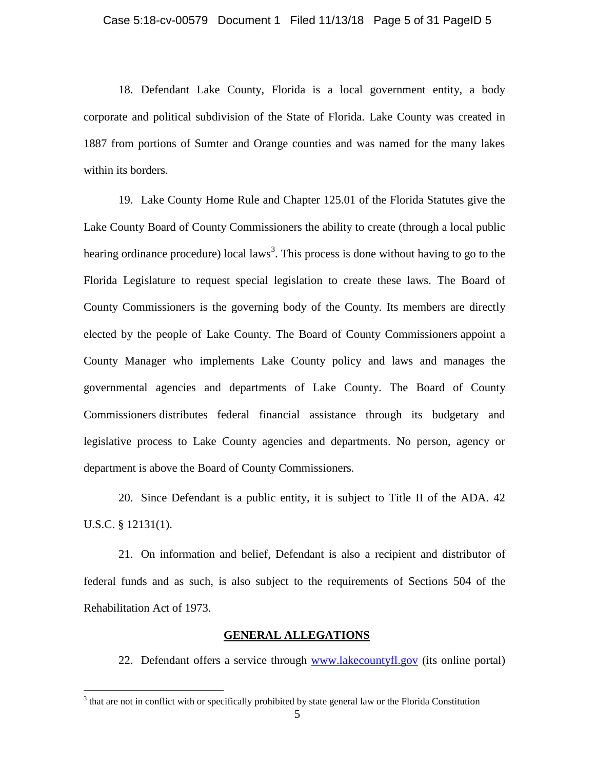18. Defendant Lake County, Florida is a local government entity, a body corporate and political subdivision of the State of Florida. Lake County was created in 1887 from portions of Sumter and Orange counties and was named for the many lakes within its borders.

19. Lake County Home Rule and Chapter 125.01 of the Florida Statutes give the Lake County Board of County Commissioners the ability to create (through a local public hearing ordinance procedure) local laws<sup>3</sup>. This process is done without having to go to the Florida Legislature to request special legislation to create these laws. The Board of County Commissioners is the governing body of the County. Its members are directly elected by the people of Lake County. The Board of County Commissioners appoint a County Manager who implements Lake County policy and laws and manages the governmental agencies and departments of Lake County. The Board of County Commissioners distributes federal financial assistance through its budgetary and legislative process to Lake County agencies and departments. No person, agency or department is above the Board of County Commissioners.

20. Since Defendant is a public entity, it is subject to Title II of the ADA. 42 U.S.C. § 12131(1).

21. On information and belief, Defendant is also a recipient and distributor of federal funds and as such, is also subject to the requirements of Sections 504 of the Rehabilitation Act of 1973.

### **GENERAL ALLEGATIONS**

22. Defendant offers a service through [www.lakecountyfl.gov](http://www.lakecountyfl.gov/) (its online portal)

 $3$  that are not in conflict with or specifically prohibited by state general law or the Florida Constitution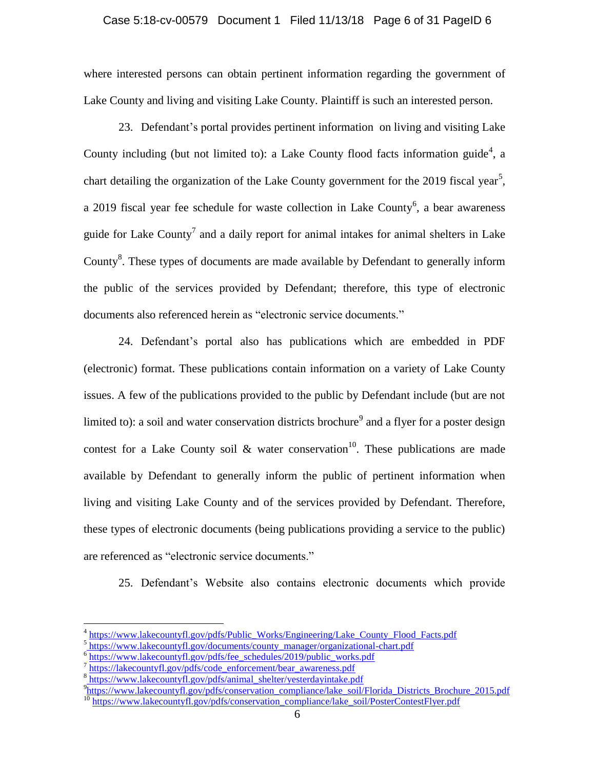#### Case 5:18-cv-00579 Document 1 Filed 11/13/18 Page 6 of 31 PageID 6

where interested persons can obtain pertinent information regarding the government of Lake County and living and visiting Lake County. Plaintiff is such an interested person.

23. Defendant"s portal provides pertinent information on living and visiting Lake County including (but not limited to): a Lake County flood facts information guide<sup>4</sup>, a chart detailing the organization of the Lake County government for the 2019 fiscal year<sup>5</sup>, a 2019 fiscal year fee schedule for waste collection in Lake County<sup>6</sup>, a bear awareness guide for Lake County<sup>7</sup> and a daily report for animal intakes for animal shelters in Lake County<sup>8</sup>. These types of documents are made available by Defendant to generally inform the public of the services provided by Defendant; therefore, this type of electronic documents also referenced herein as "electronic service documents."

24. Defendant"s portal also has publications which are embedded in PDF (electronic) format. These publications contain information on a variety of Lake County issues. A few of the publications provided to the public by Defendant include (but are not limited to): a soil and water conservation districts brochure<sup>9</sup> and a flyer for a poster design contest for a Lake County soil  $\&$  water conservation<sup>10</sup>. These publications are made available by Defendant to generally inform the public of pertinent information when living and visiting Lake County and of the services provided by Defendant. Therefore, these types of electronic documents (being publications providing a service to the public) are referenced as "electronic service documents."

25. Defendant"s Website also contains electronic documents which provide

<sup>4</sup> [https://www.lakecountyfl.gov/pdfs/Public\\_Works/Engineering/Lake\\_County\\_Flood\\_Facts.pdf](https://www.lakecountyfl.gov/pdfs/Public_Works/Engineering/Lake_County_Flood_Facts.pdf)

<sup>&</sup>lt;sup>5</sup>https://www.lakecountyfl.gov/documents/county\_manager/organizational-chart.pdf

 $\frac{6 \text{ https://www.lakecountyfl.gov/pdfs/fee\_scheduling/2019/public_works.pdf}}{7 \text{ https://www.lakecountyfl.gov/pdfs/fae\_scheduling/2019/public_works.pdf}}$ 

[https://lakecountyfl.gov/pdfs/code\\_enforcement/bear\\_awareness.pdf](https://lakecountyfl.gov/pdfs/code_enforcement/bear_awareness.pdf)

<sup>&</sup>lt;sup>8</sup>[https://www.lakecountyfl.gov/pdfs/animal\\_shelter/yesterdayintake.pdf](https://www.lakecountyfl.gov/pdfs/animal_shelter/yesterdayintake.pdf)

<sup>&</sup>lt;sup>9</sup>[https://www.lakecountyfl.gov/pdfs/conservation\\_compliance/lake\\_soil/Florida](https://www.lakecountyfl.gov/pdfs/conservation_compliance/lake_soil/Florida_Districts_Brochure_2015.pdf)\_Districts\_Brochure\_2015.pdf <sup>10</sup> [https://www.lakecountyfl.gov/pdfs/conservation\\_compliance/lake\\_soil/PosterContestFlyer.pdf](https://www.lakecountyfl.gov/pdfs/conservation_compliance/lake_soil/PosterContestFlyer.pdf)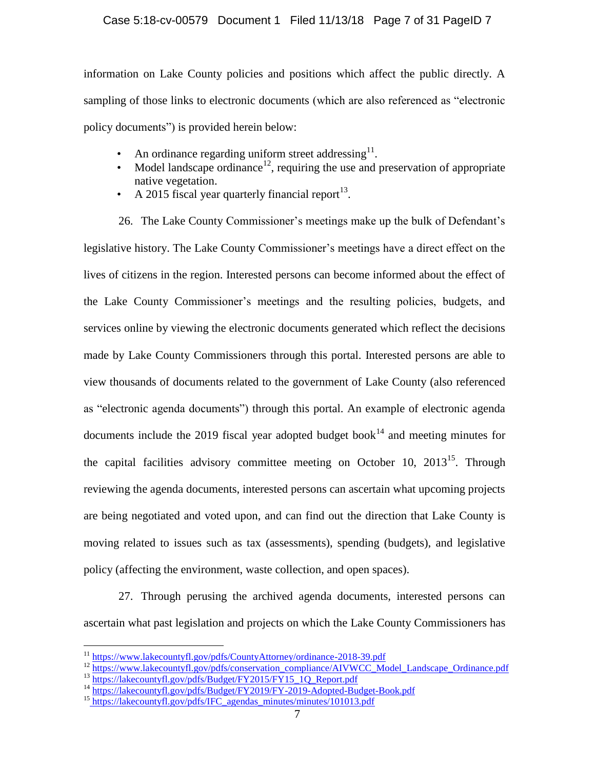#### Case 5:18-cv-00579 Document 1 Filed 11/13/18 Page 7 of 31 PageID 7

information on Lake County policies and positions which affect the public directly. A sampling of those links to electronic documents (which are also referenced as "electronic policy documents") is provided herein below:

- An ordinance regarding uniform street addressing $^{11}$ .
- Model landscape ordinance<sup>12</sup>, requiring the use and preservation of appropriate native vegetation.
- A 2015 fiscal year quarterly financial report<sup>13</sup>.

26. The Lake County Commissioner's meetings make up the bulk of Defendant's legislative history. The Lake County Commissioner"s meetings have a direct effect on the lives of citizens in the region. Interested persons can become informed about the effect of the Lake County Commissioner"s meetings and the resulting policies, budgets, and services online by viewing the electronic documents generated which reflect the decisions made by Lake County Commissioners through this portal. Interested persons are able to view thousands of documents related to the government of Lake County (also referenced as "electronic agenda documents") through this portal. An example of electronic agenda documents include the 2019 fiscal year adopted budget book<sup>14</sup> and meeting minutes for the capital facilities advisory committee meeting on October 10,  $2013^{15}$ . Through reviewing the agenda documents, interested persons can ascertain what upcoming projects are being negotiated and voted upon, and can find out the direction that Lake County is moving related to issues such as tax (assessments), spending (budgets), and legislative policy (affecting the environment, waste collection, and open spaces).

27. Through perusing the archived agenda documents, interested persons can ascertain what past legislation and projects on which the Lake County Commissioners has

<sup>&</sup>lt;sup>11</sup> <https://www.lakecountyfl.gov/pdfs/CountyAttorney/ordinance-2018-39.pdf>

<sup>&</sup>lt;sup>12</sup> [https://www.lakecountyfl.gov/pdfs/conservation\\_compliance/AIVWCC\\_Model\\_Landscape\\_Ordinance.pdf](https://www.lakecountyfl.gov/pdfs/conservation_compliance/AIVWCC_Model_Landscape_Ordinance.pdf) <sup>13</sup> [https://lakecountyfl.gov/pdfs/Budget/FY2015/FY15\\_1Q\\_Report.pdf](https://lakecountyfl.gov/pdfs/Budget/FY2015/FY15_1Q_Report.pdf)

<sup>&</sup>lt;sup>14</sup> <https://lakecountyfl.gov/pdfs/Budget/FY2019/FY-2019-Adopted-Budget-Book.pdf>

<sup>&</sup>lt;sup>15</sup> [https://lakecountyfl.gov/pdfs/IFC\\_agendas\\_minutes/minutes/101013.pdf](https://lakecountyfl.gov/pdfs/IFC_agendas_minutes/minutes/101013.pdf)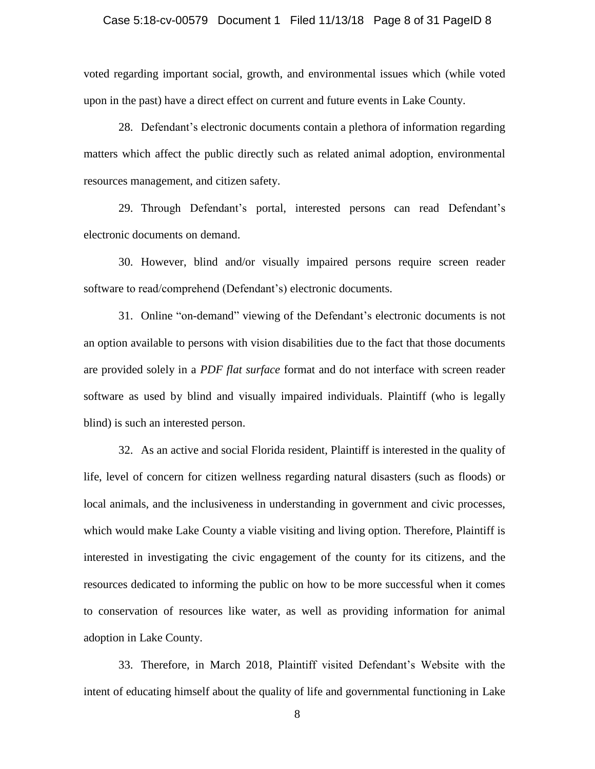#### Case 5:18-cv-00579 Document 1 Filed 11/13/18 Page 8 of 31 PageID 8

voted regarding important social, growth, and environmental issues which (while voted upon in the past) have a direct effect on current and future events in Lake County.

28. Defendant"s electronic documents contain a plethora of information regarding matters which affect the public directly such as related animal adoption, environmental resources management, and citizen safety.

29. Through Defendant"s portal, interested persons can read Defendant"s electronic documents on demand.

30. However, blind and/or visually impaired persons require screen reader software to read/comprehend (Defendant's) electronic documents.

31. Online "on-demand" viewing of the Defendant"s electronic documents is not an option available to persons with vision disabilities due to the fact that those documents are provided solely in a *PDF flat surface* format and do not interface with screen reader software as used by blind and visually impaired individuals. Plaintiff (who is legally blind) is such an interested person.

32. As an active and social Florida resident, Plaintiff is interested in the quality of life, level of concern for citizen wellness regarding natural disasters (such as floods) or local animals, and the inclusiveness in understanding in government and civic processes, which would make Lake County a viable visiting and living option. Therefore, Plaintiff is interested in investigating the civic engagement of the county for its citizens, and the resources dedicated to informing the public on how to be more successful when it comes to conservation of resources like water, as well as providing information for animal adoption in Lake County.

33. Therefore, in March 2018, Plaintiff visited Defendant"s Website with the intent of educating himself about the quality of life and governmental functioning in Lake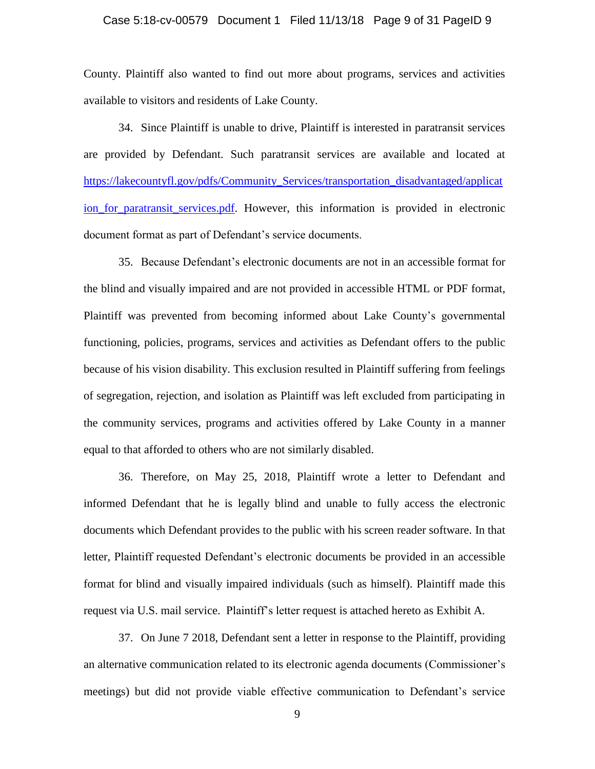#### Case 5:18-cv-00579 Document 1 Filed 11/13/18 Page 9 of 31 PageID 9

County. Plaintiff also wanted to find out more about programs, services and activities available to visitors and residents of Lake County.

34. Since Plaintiff is unable to drive, Plaintiff is interested in paratransit services are provided by Defendant. Such paratransit services are available and located at [https://lakecountyfl.gov/pdfs/Community\\_Services/transportation\\_disadvantaged/applicat](https://lakecountyfl.gov/pdfs/Community_Services/transportation_disadvantaged/application_for_paratransit_services.pdf) ion for paratransit services.pdf. However, this information is provided in electronic document format as part of Defendant's service documents.

35. Because Defendant"s electronic documents are not in an accessible format for the blind and visually impaired and are not provided in accessible HTML or PDF format, Plaintiff was prevented from becoming informed about Lake County"s governmental functioning, policies, programs, services and activities as Defendant offers to the public because of his vision disability. This exclusion resulted in Plaintiff suffering from feelings of segregation, rejection, and isolation as Plaintiff was left excluded from participating in the community services, programs and activities offered by Lake County in a manner equal to that afforded to others who are not similarly disabled.

36. Therefore, on May 25, 2018, Plaintiff wrote a letter to Defendant and informed Defendant that he is legally blind and unable to fully access the electronic documents which Defendant provides to the public with his screen reader software. In that letter, Plaintiff requested Defendant's electronic documents be provided in an accessible format for blind and visually impaired individuals (such as himself). Plaintiff made this request via U.S. mail service. Plaintiff"s letter request is attached hereto as Exhibit A.

37. On June 7 2018, Defendant sent a letter in response to the Plaintiff, providing an alternative communication related to its electronic agenda documents (Commissioner"s meetings) but did not provide viable effective communication to Defendant"s service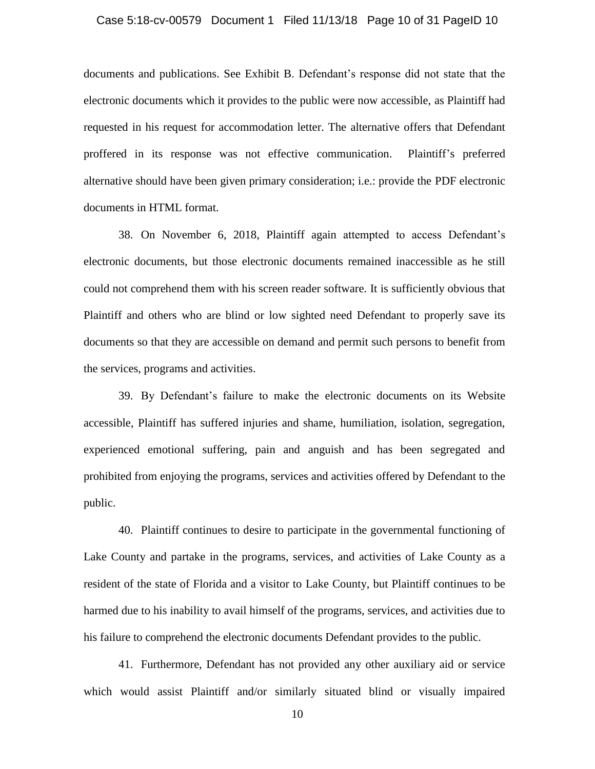#### Case 5:18-cv-00579 Document 1 Filed 11/13/18 Page 10 of 31 PageID 10

documents and publications. See Exhibit B. Defendant"s response did not state that the electronic documents which it provides to the public were now accessible, as Plaintiff had requested in his request for accommodation letter. The alternative offers that Defendant proffered in its response was not effective communication. Plaintiff"s preferred alternative should have been given primary consideration; i.e.: provide the PDF electronic documents in HTML format.

38. On November 6, 2018, Plaintiff again attempted to access Defendant"s electronic documents, but those electronic documents remained inaccessible as he still could not comprehend them with his screen reader software. It is sufficiently obvious that Plaintiff and others who are blind or low sighted need Defendant to properly save its documents so that they are accessible on demand and permit such persons to benefit from the services, programs and activities.

39. By Defendant"s failure to make the electronic documents on its Website accessible, Plaintiff has suffered injuries and shame, humiliation, isolation, segregation, experienced emotional suffering, pain and anguish and has been segregated and prohibited from enjoying the programs, services and activities offered by Defendant to the public.

40. Plaintiff continues to desire to participate in the governmental functioning of Lake County and partake in the programs, services, and activities of Lake County as a resident of the state of Florida and a visitor to Lake County, but Plaintiff continues to be harmed due to his inability to avail himself of the programs, services, and activities due to his failure to comprehend the electronic documents Defendant provides to the public.

41. Furthermore, Defendant has not provided any other auxiliary aid or service which would assist Plaintiff and/or similarly situated blind or visually impaired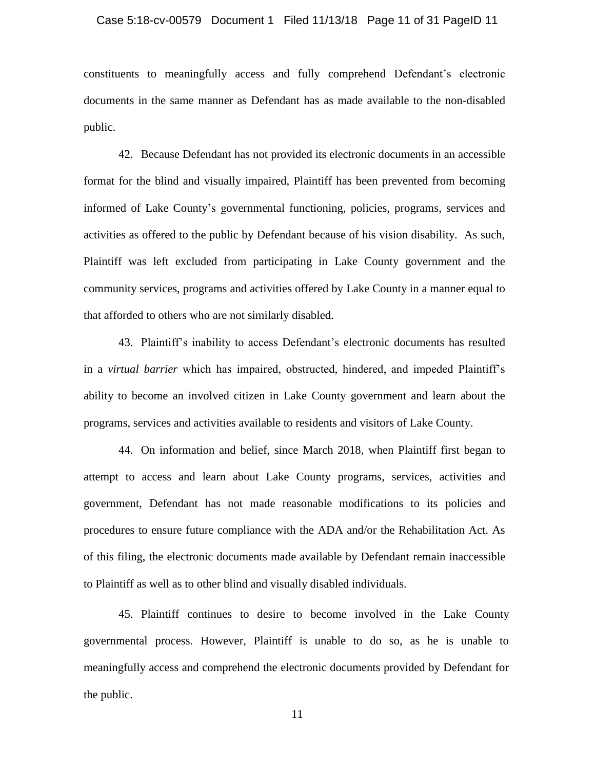#### Case 5:18-cv-00579 Document 1 Filed 11/13/18 Page 11 of 31 PageID 11

constituents to meaningfully access and fully comprehend Defendant"s electronic documents in the same manner as Defendant has as made available to the non-disabled public.

42. Because Defendant has not provided its electronic documents in an accessible format for the blind and visually impaired, Plaintiff has been prevented from becoming informed of Lake County"s governmental functioning, policies, programs, services and activities as offered to the public by Defendant because of his vision disability. As such, Plaintiff was left excluded from participating in Lake County government and the community services, programs and activities offered by Lake County in a manner equal to that afforded to others who are not similarly disabled.

43. Plaintiff"s inability to access Defendant"s electronic documents has resulted in a *virtual barrier* which has impaired, obstructed, hindered, and impeded Plaintiff"s ability to become an involved citizen in Lake County government and learn about the programs, services and activities available to residents and visitors of Lake County.

44. On information and belief, since March 2018, when Plaintiff first began to attempt to access and learn about Lake County programs, services, activities and government, Defendant has not made reasonable modifications to its policies and procedures to ensure future compliance with the ADA and/or the Rehabilitation Act. As of this filing, the electronic documents made available by Defendant remain inaccessible to Plaintiff as well as to other blind and visually disabled individuals.

45. Plaintiff continues to desire to become involved in the Lake County governmental process. However, Plaintiff is unable to do so, as he is unable to meaningfully access and comprehend the electronic documents provided by Defendant for the public.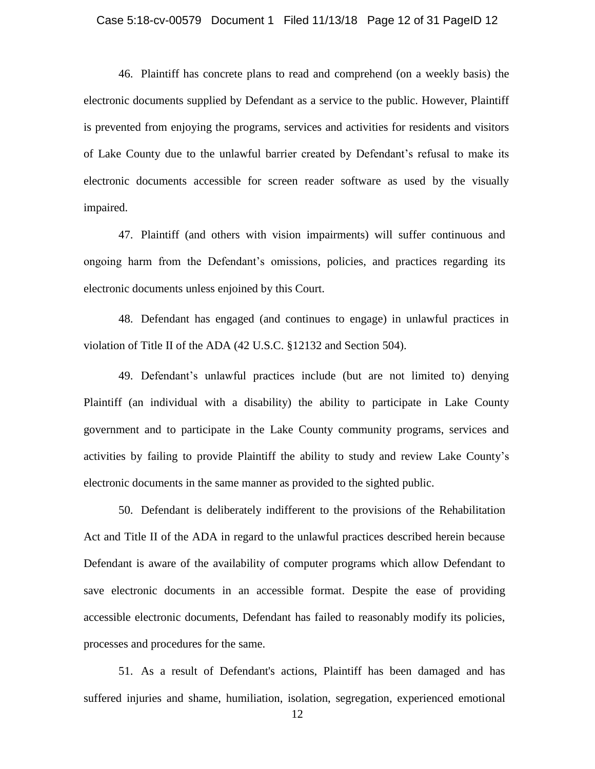#### Case 5:18-cv-00579 Document 1 Filed 11/13/18 Page 12 of 31 PageID 12

46. Plaintiff has concrete plans to read and comprehend (on a weekly basis) the electronic documents supplied by Defendant as a service to the public. However, Plaintiff is prevented from enjoying the programs, services and activities for residents and visitors of Lake County due to the unlawful barrier created by Defendant"s refusal to make its electronic documents accessible for screen reader software as used by the visually impaired.

47. Plaintiff (and others with vision impairments) will suffer continuous and ongoing harm from the Defendant"s omissions, policies, and practices regarding its electronic documents unless enjoined by this Court.

48. Defendant has engaged (and continues to engage) in unlawful practices in violation of Title II of the ADA (42 U.S.C. §12132 and Section 504).

49. Defendant"s unlawful practices include (but are not limited to) denying Plaintiff (an individual with a disability) the ability to participate in Lake County government and to participate in the Lake County community programs, services and activities by failing to provide Plaintiff the ability to study and review Lake County"s electronic documents in the same manner as provided to the sighted public.

50. Defendant is deliberately indifferent to the provisions of the Rehabilitation Act and Title II of the ADA in regard to the unlawful practices described herein because Defendant is aware of the availability of computer programs which allow Defendant to save electronic documents in an accessible format. Despite the ease of providing accessible electronic documents, Defendant has failed to reasonably modify its policies, processes and procedures for the same.

51. As a result of Defendant's actions, Plaintiff has been damaged and has suffered injuries and shame, humiliation, isolation, segregation, experienced emotional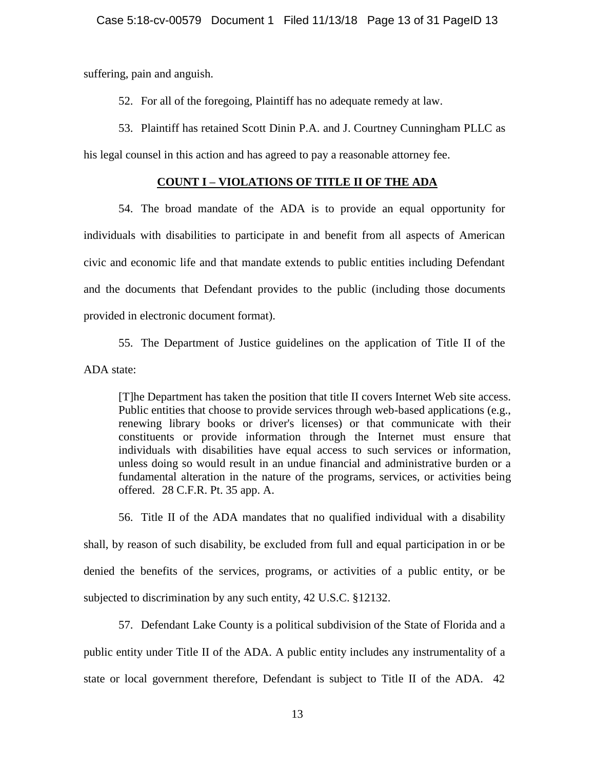suffering, pain and anguish.

52. For all of the foregoing, Plaintiff has no adequate remedy at law.

53. Plaintiff has retained Scott Dinin P.A. and J. Courtney Cunningham PLLC as

his legal counsel in this action and has agreed to pay a reasonable attorney fee.

#### **COUNT I – VIOLATIONS OF TITLE II OF THE ADA**

54. The broad mandate of the ADA is to provide an equal opportunity for individuals with disabilities to participate in and benefit from all aspects of American civic and economic life and that mandate extends to public entities including Defendant and the documents that Defendant provides to the public (including those documents provided in electronic document format).

55. The Department of Justice guidelines on the application of Title II of the

ADA state:

[T]he Department has taken the position that title II covers Internet Web site access. Public entities that choose to provide services through web-based applications (e.g., renewing library books or driver's licenses) or that communicate with their constituents or provide information through the Internet must ensure that individuals with disabilities have equal access to such services or information, unless doing so would result in an undue financial and administrative burden or a fundamental alteration in the nature of the programs, services, or activities being offered. 28 C.F.R. Pt. 35 app. A.

56. Title II of the ADA mandates that no qualified individual with a disability shall, by reason of such disability, be excluded from full and equal participation in or be denied the benefits of the services, programs, or activities of a public entity, or be subjected to discrimination by any such entity, 42 U.S.C. §12132.

57. Defendant Lake County is a political subdivision of the State of Florida and a public entity under Title II of the ADA. A public entity includes any instrumentality of a state or local government therefore, Defendant is subject to Title II of the ADA. 42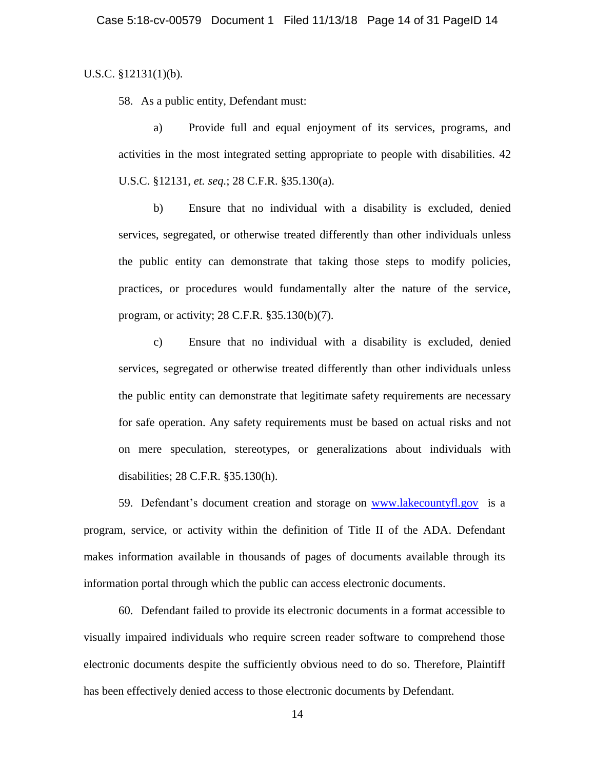#### U.S.C. §12131(1)(b).

58. As a public entity, Defendant must:

a) Provide full and equal enjoyment of its services, programs, and activities in the most integrated setting appropriate to people with disabilities. 42 U.S.C. §12131, *et. seq.*; 28 C.F.R. §35.130(a).

b) Ensure that no individual with a disability is excluded, denied services, segregated, or otherwise treated differently than other individuals unless the public entity can demonstrate that taking those steps to modify policies, practices, or procedures would fundamentally alter the nature of the service, program, or activity; 28 C.F.R. §35.130(b)(7).

c) Ensure that no individual with a disability is excluded, denied services, segregated or otherwise treated differently than other individuals unless the public entity can demonstrate that legitimate safety requirements are necessary for safe operation. Any safety requirements must be based on actual risks and not on mere speculation, stereotypes, or generalizations about individuals with disabilities; 28 C.F.R. §35.130(h).

59. Defendant"s document creation and storage on [www.lakecountyfl.gov](http://www.lakecountyfl.gov/) is a program, service, or activity within the definition of Title II of the ADA. Defendant makes information available in thousands of pages of documents available through its information portal through which the public can access electronic documents.

60. Defendant failed to provide its electronic documents in a format accessible to visually impaired individuals who require screen reader software to comprehend those electronic documents despite the sufficiently obvious need to do so. Therefore, Plaintiff has been effectively denied access to those electronic documents by Defendant.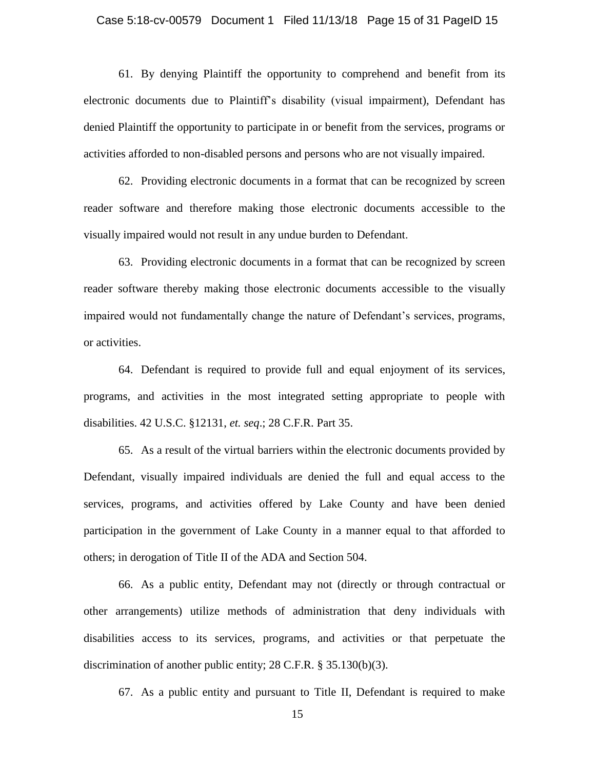#### Case 5:18-cv-00579 Document 1 Filed 11/13/18 Page 15 of 31 PageID 15

61. By denying Plaintiff the opportunity to comprehend and benefit from its electronic documents due to Plaintiff"s disability (visual impairment), Defendant has denied Plaintiff the opportunity to participate in or benefit from the services, programs or activities afforded to non-disabled persons and persons who are not visually impaired.

62. Providing electronic documents in a format that can be recognized by screen reader software and therefore making those electronic documents accessible to the visually impaired would not result in any undue burden to Defendant.

63. Providing electronic documents in a format that can be recognized by screen reader software thereby making those electronic documents accessible to the visually impaired would not fundamentally change the nature of Defendant's services, programs, or activities.

64. Defendant is required to provide full and equal enjoyment of its services, programs, and activities in the most integrated setting appropriate to people with disabilities. 42 U.S.C. §12131, *et. seq*.; 28 C.F.R. Part 35.

65. As a result of the virtual barriers within the electronic documents provided by Defendant, visually impaired individuals are denied the full and equal access to the services, programs, and activities offered by Lake County and have been denied participation in the government of Lake County in a manner equal to that afforded to others; in derogation of Title II of the ADA and Section 504.

66. As a public entity, Defendant may not (directly or through contractual or other arrangements) utilize methods of administration that deny individuals with disabilities access to its services, programs, and activities or that perpetuate the discrimination of another public entity; 28 C.F.R. § 35.130(b)(3).

67. As a public entity and pursuant to Title II, Defendant is required to make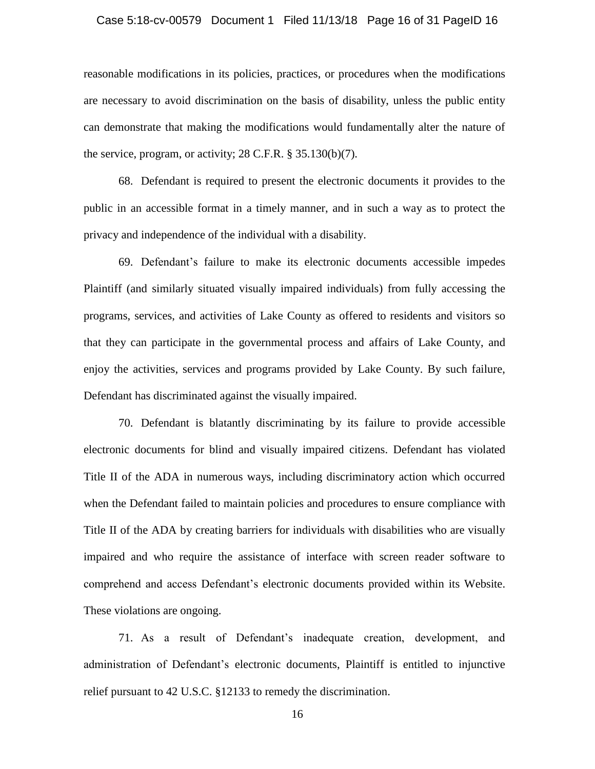#### Case 5:18-cv-00579 Document 1 Filed 11/13/18 Page 16 of 31 PageID 16

reasonable modifications in its policies, practices, or procedures when the modifications are necessary to avoid discrimination on the basis of disability, unless the public entity can demonstrate that making the modifications would fundamentally alter the nature of the service, program, or activity; 28 C.F.R. § 35.130(b)(7).

68. Defendant is required to present the electronic documents it provides to the public in an accessible format in a timely manner, and in such a way as to protect the privacy and independence of the individual with a disability.

69. Defendant"s failure to make its electronic documents accessible impedes Plaintiff (and similarly situated visually impaired individuals) from fully accessing the programs, services, and activities of Lake County as offered to residents and visitors so that they can participate in the governmental process and affairs of Lake County, and enjoy the activities, services and programs provided by Lake County. By such failure, Defendant has discriminated against the visually impaired.

70. Defendant is blatantly discriminating by its failure to provide accessible electronic documents for blind and visually impaired citizens. Defendant has violated Title II of the ADA in numerous ways, including discriminatory action which occurred when the Defendant failed to maintain policies and procedures to ensure compliance with Title II of the ADA by creating barriers for individuals with disabilities who are visually impaired and who require the assistance of interface with screen reader software to comprehend and access Defendant"s electronic documents provided within its Website. These violations are ongoing.

71. As a result of Defendant"s inadequate creation, development, and administration of Defendant's electronic documents, Plaintiff is entitled to injunctive relief pursuant to 42 U.S.C. §12133 to remedy the discrimination.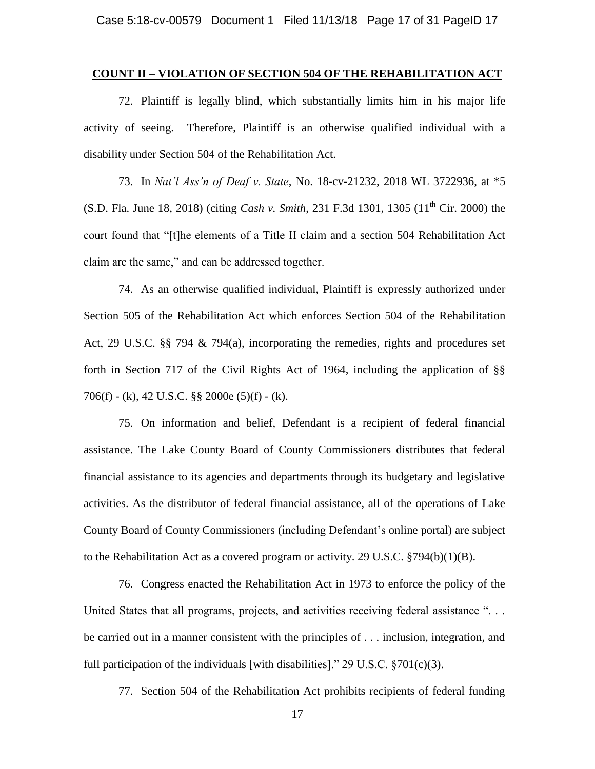#### **COUNT II – VIOLATION OF SECTION 504 OF THE REHABILITATION ACT**

72. Plaintiff is legally blind, which substantially limits him in his major life activity of seeing. Therefore, Plaintiff is an otherwise qualified individual with a disability under Section 504 of the Rehabilitation Act.

73. In *Nat'l Ass'n of Deaf v. State*, No. 18-cv-21232, 2018 WL 3722936, at \*5 (S.D. Fla. June 18, 2018) (citing *Cash v. Smith*, 231 F.3d 1301, 1305 (11<sup>th</sup> Cir. 2000) the court found that "[t]he elements of a Title II claim and a section 504 Rehabilitation Act claim are the same," and can be addressed together.

74. As an otherwise qualified individual, Plaintiff is expressly authorized under Section 505 of the Rehabilitation Act which enforces Section 504 of the Rehabilitation Act, 29 U.S.C. §§ 794 & 794(a), incorporating the remedies, rights and procedures set forth in Section 717 of the Civil Rights Act of 1964, including the application of §§ 706(f) - (k), 42 U.S.C. §§ 2000e (5)(f) - (k).

75. On information and belief, Defendant is a recipient of federal financial assistance. The Lake County Board of County Commissioners distributes that federal financial assistance to its agencies and departments through its budgetary and legislative activities. As the distributor of federal financial assistance, all of the operations of Lake County Board of County Commissioners (including Defendant"s online portal) are subject to the Rehabilitation Act as a covered program or activity. 29 U.S.C. §794(b)(1)(B).

76. Congress enacted the Rehabilitation Act in 1973 to enforce the policy of the United States that all programs, projects, and activities receiving federal assistance "... be carried out in a manner consistent with the principles of . . . inclusion, integration, and full participation of the individuals [with disabilities]." 29 U.S.C.  $\S701(c)(3)$ .

77. Section 504 of the Rehabilitation Act prohibits recipients of federal funding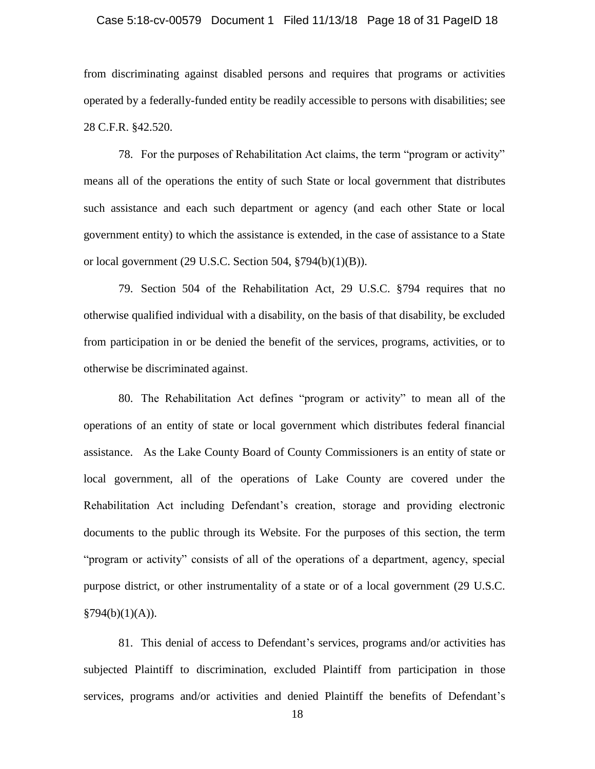#### Case 5:18-cv-00579 Document 1 Filed 11/13/18 Page 18 of 31 PageID 18

from discriminating against disabled persons and requires that programs or activities operated by a federally-funded entity be readily accessible to persons with disabilities; see 28 C.F.R. §42.520.

78. For the purposes of Rehabilitation Act claims, the term "program or activity" means all of the operations the entity of such State or local government that distributes such assistance and each such department or agency (and each other State or local government entity) to which the assistance is extended, in the case of assistance to a State or local government (29 U.S.C. Section 504, §794(b)(1)(B)).

79. Section 504 of the Rehabilitation Act, 29 U.S.C. §794 requires that no otherwise qualified individual with a disability, on the basis of that disability, be excluded from participation in or be denied the benefit of the services, programs, activities, or to otherwise be discriminated against.

80. The Rehabilitation Act defines "program or activity" to mean all of the operations of an entity of state or local government which distributes federal financial assistance. As the Lake County Board of County Commissioners is an entity of state or local government, all of the operations of Lake County are covered under the Rehabilitation Act including Defendant"s creation, storage and providing electronic documents to the public through its Website. For the purposes of this section, the term "program or activity" consists of all of the operations of a department, agency, special purpose district, or other instrumentality of a state or of a local government (29 U.S.C.  $§794(b)(1)(A)).$ 

81. This denial of access to Defendant"s services, programs and/or activities has subjected Plaintiff to discrimination, excluded Plaintiff from participation in those services, programs and/or activities and denied Plaintiff the benefits of Defendant's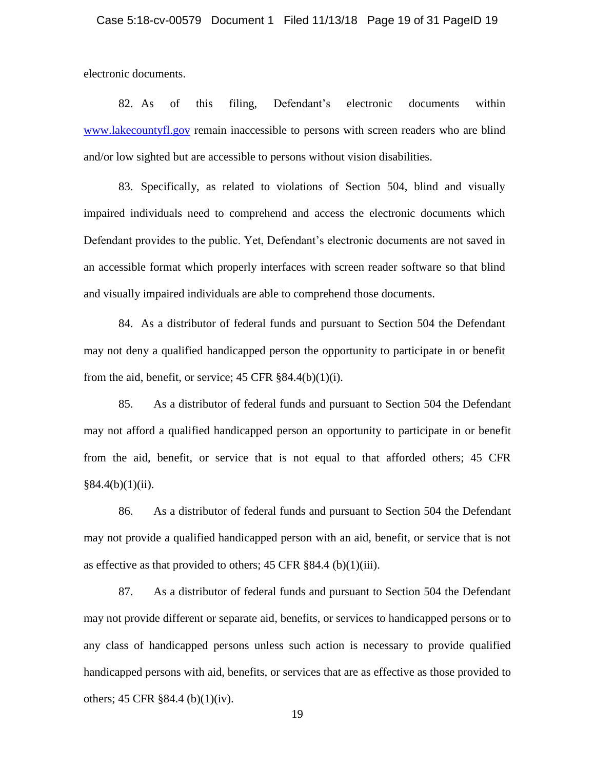electronic documents.

82. As of this filing, Defendant"s electronic documents within [www.lakecountyfl.gov](http://www.lakecountyfl.gov/) remain inaccessible to persons with screen readers who are blind and/or low sighted but are accessible to persons without vision disabilities.

83. Specifically, as related to violations of Section 504, blind and visually impaired individuals need to comprehend and access the electronic documents which Defendant provides to the public. Yet, Defendant's electronic documents are not saved in an accessible format which properly interfaces with screen reader software so that blind and visually impaired individuals are able to comprehend those documents.

84. As a distributor of federal funds and pursuant to Section 504 the Defendant may not deny a qualified handicapped person the opportunity to participate in or benefit from the aid, benefit, or service;  $45 \text{ CFR } \frac{884.4(b)(1)(i)}{i}$ .

85. As a distributor of federal funds and pursuant to Section 504 the Defendant may not afford a qualified handicapped person an opportunity to participate in or benefit from the aid, benefit, or service that is not equal to that afforded others; 45 CFR  $§84.4(b)(1)(ii).$ 

86. As a distributor of federal funds and pursuant to Section 504 the Defendant may not provide a qualified handicapped person with an aid, benefit, or service that is not as effective as that provided to others; 45 CFR §84.4 (b)(1)(iii).

87. As a distributor of federal funds and pursuant to Section 504 the Defendant may not provide different or separate aid, benefits, or services to handicapped persons or to any class of handicapped persons unless such action is necessary to provide qualified handicapped persons with aid, benefits, or services that are as effective as those provided to others; 45 CFR §84.4 (b)(1)(iv).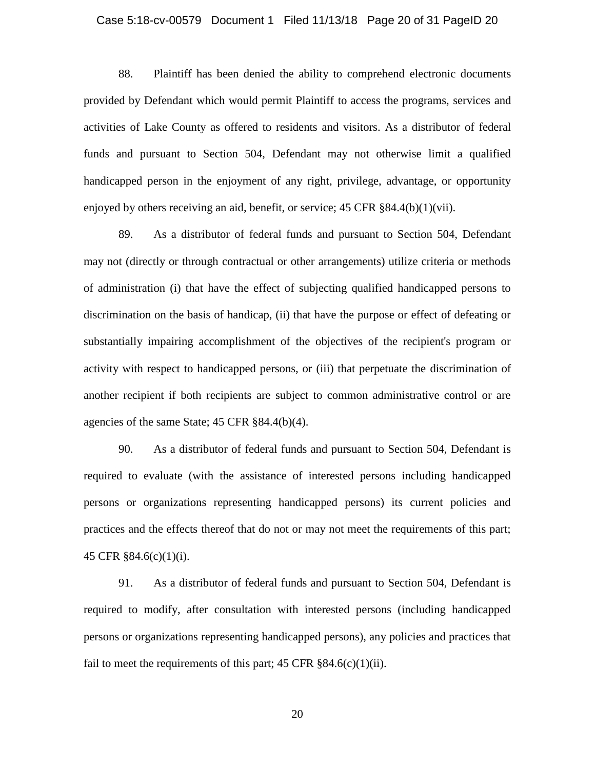#### Case 5:18-cv-00579 Document 1 Filed 11/13/18 Page 20 of 31 PageID 20

88. Plaintiff has been denied the ability to comprehend electronic documents provided by Defendant which would permit Plaintiff to access the programs, services and activities of Lake County as offered to residents and visitors. As a distributor of federal funds and pursuant to Section 504, Defendant may not otherwise limit a qualified handicapped person in the enjoyment of any right, privilege, advantage, or opportunity enjoyed by others receiving an aid, benefit, or service; 45 CFR §84.4(b)(1)(vii).

89. As a distributor of federal funds and pursuant to Section 504, Defendant may not (directly or through contractual or other arrangements) utilize criteria or methods of administration (i) that have the effect of subjecting qualified handicapped persons to discrimination on the basis of handicap, (ii) that have the purpose or effect of defeating or substantially impairing accomplishment of the objectives of the recipient's program or activity with respect to handicapped persons, or (iii) that perpetuate the discrimination of another recipient if both recipients are subject to common administrative control or are agencies of the same State; 45 CFR §84.4(b)(4).

90. As a distributor of federal funds and pursuant to Section 504, Defendant is required to evaluate (with the assistance of interested persons including handicapped persons or organizations representing handicapped persons) its current policies and practices and the effects thereof that do not or may not meet the requirements of this part; 45 CFR §84.6(c)(1)(i).

91. As a distributor of federal funds and pursuant to Section 504, Defendant is required to modify, after consultation with interested persons (including handicapped persons or organizations representing handicapped persons), any policies and practices that fail to meet the requirements of this part;  $45 \text{ CFR } \text{\$}84.6(c)(1)(ii)$ .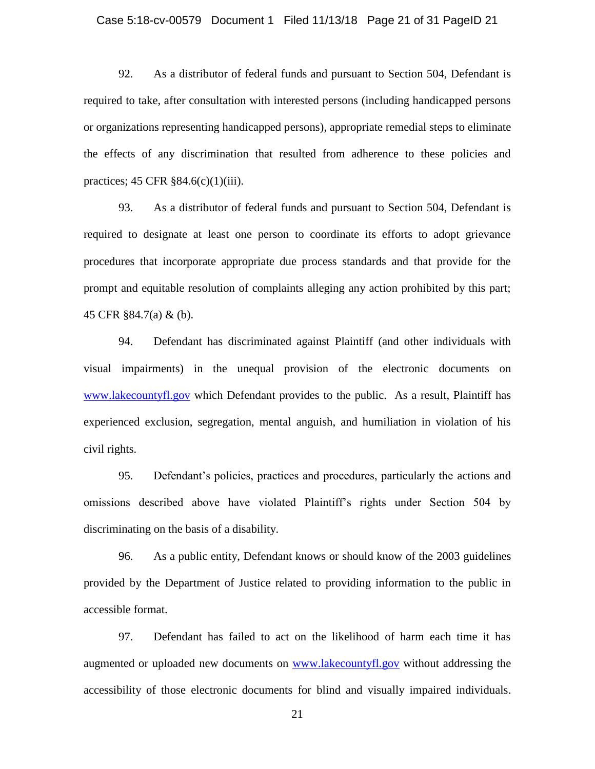#### Case 5:18-cv-00579 Document 1 Filed 11/13/18 Page 21 of 31 PageID 21

92. As a distributor of federal funds and pursuant to Section 504, Defendant is required to take, after consultation with interested persons (including handicapped persons or organizations representing handicapped persons), appropriate remedial steps to eliminate the effects of any discrimination that resulted from adherence to these policies and practices; 45 CFR §84.6(c)(1)(iii).

93. As a distributor of federal funds and pursuant to Section 504, Defendant is required to designate at least one person to coordinate its efforts to adopt grievance procedures that incorporate appropriate due process standards and that provide for the prompt and equitable resolution of complaints alleging any action prohibited by this part; 45 CFR §84.7(a) & (b).

94. Defendant has discriminated against Plaintiff (and other individuals with visual impairments) in the unequal provision of the electronic documents on [www.lakecountyfl.gov](http://www.lakecountyfl.gov/) which Defendant provides to the public. As a result, Plaintiff has experienced exclusion, segregation, mental anguish, and humiliation in violation of his civil rights.

95. Defendant"s policies, practices and procedures, particularly the actions and omissions described above have violated Plaintiff's rights under Section 504 by discriminating on the basis of a disability.

96. As a public entity, Defendant knows or should know of the 2003 guidelines provided by the Department of Justice related to providing information to the public in accessible format.

97. Defendant has failed to act on the likelihood of harm each time it has augmented or uploaded new documents on [www.lakecountyfl.gov](http://www.lakecountyfl.gov/) without addressing the accessibility of those electronic documents for blind and visually impaired individuals.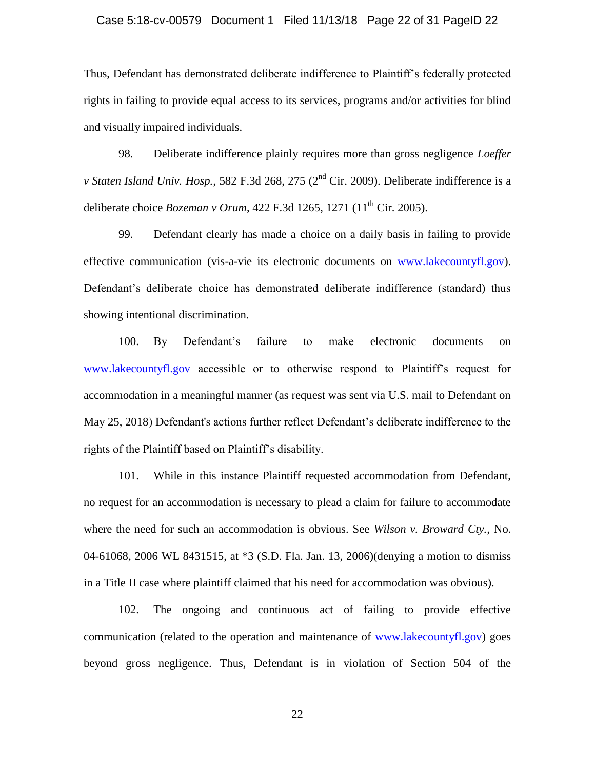#### Case 5:18-cv-00579 Document 1 Filed 11/13/18 Page 22 of 31 PageID 22

Thus, Defendant has demonstrated deliberate indifference to Plaintiff"s federally protected rights in failing to provide equal access to its services, programs and/or activities for blind and visually impaired individuals.

98. Deliberate indifference plainly requires more than gross negligence *Loeffer v Staten Island Univ. Hosp.,* 582 F.3d 268, 275 (2nd Cir. 2009). Deliberate indifference is a deliberate choice *Bozeman v Orum*, 422 F.3d 1265, 1271 (11<sup>th</sup> Cir. 2005).

99. Defendant clearly has made a choice on a daily basis in failing to provide effective communication (vis-a-vie its electronic documents on [www.lakecountyfl.gov\)](http://www.lakecountyfl.gov/). Defendant's deliberate choice has demonstrated deliberate indifference (standard) thus showing intentional discrimination.

100. By Defendant"s failure to make electronic documents on [www.lakecountyfl.gov](http://www.lakecountyfl.gov/) accessible or to otherwise respond to Plaintiff's request for accommodation in a meaningful manner (as request was sent via U.S. mail to Defendant on May 25, 2018) Defendant's actions further reflect Defendant"s deliberate indifference to the rights of the Plaintiff based on Plaintiff"s disability.

101. While in this instance Plaintiff requested accommodation from Defendant, no request for an accommodation is necessary to plead a claim for failure to accommodate where the need for such an accommodation is obvious. See *Wilson v. Broward Cty.,* No. 04-61068, 2006 WL 8431515, at \*3 (S.D. Fla. Jan. 13, 2006)(denying a motion to dismiss in a Title II case where plaintiff claimed that his need for accommodation was obvious).

102. The ongoing and continuous act of failing to provide effective communication (related to the operation and maintenance of [www.lakecountyfl.gov\)](http://www.lakecountyfl.gov/) goes beyond gross negligence. Thus, Defendant is in violation of Section 504 of the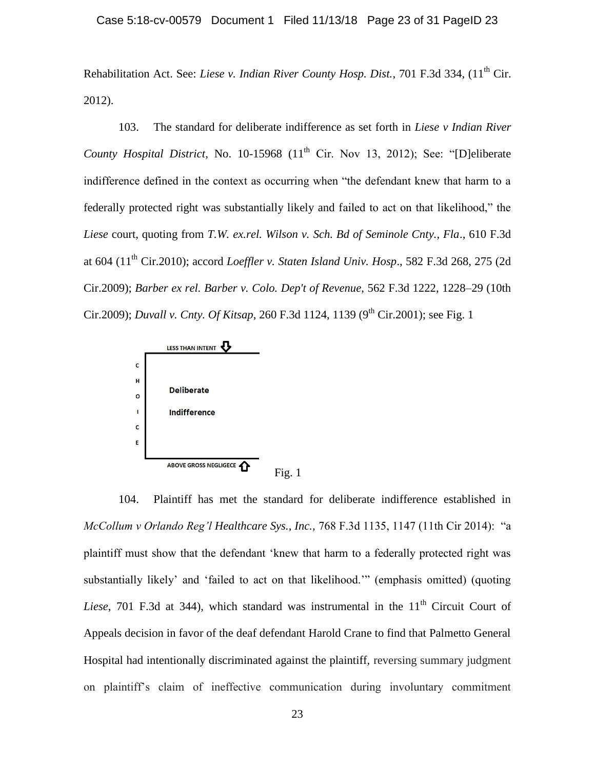Rehabilitation Act. See: *Liese v. Indian River County Hosp. Dist.*, 701 F.3d 334, (11<sup>th</sup> Cir. 2012).

103. The standard for deliberate indifference as set forth in *Liese v Indian River County Hospital District*, No. 10-15968 (11<sup>th</sup> Cir. Nov 13, 2012); See: "[D]eliberate indifference defined in the context as occurring when "the defendant knew that harm to a federally protected right was substantially likely and failed to act on that likelihood," the *Liese* court, quoting from *T.W. ex.rel. Wilson v. Sch. Bd of Seminole Cnty., Fla*., 610 F.3d at 604 (11th Cir.2010); accord *Loeffler v. Staten Island Univ. Hosp*., 582 F.3d 268, 275 (2d Cir.2009); *Barber ex rel. Barber v. Colo. Dep't of Revenue*, 562 F.3d 1222, 1228–29 (10th Cir.2009); *Duvall v. Cnty. Of Kitsap*, 260 F.3d 1124, 1139 (9<sup>th</sup> Cir.2001); see Fig. 1



104. Plaintiff has met the standard for deliberate indifference established in *McCollum v Orlando Reg'l Healthcare Sys., Inc.,* 768 F.3d 1135, 1147 (11th Cir 2014): "a plaintiff must show that the defendant "knew that harm to a federally protected right was substantially likely' and 'failed to act on that likelihood." (emphasis omitted) (quoting *Liese*, 701 F.3d at 344), which standard was instrumental in the  $11<sup>th</sup>$  Circuit Court of Appeals decision in favor of the deaf defendant Harold Crane to find that Palmetto General Hospital had intentionally discriminated against the plaintiff, reversing summary judgment on plaintiff"s claim of ineffective communication during involuntary commitment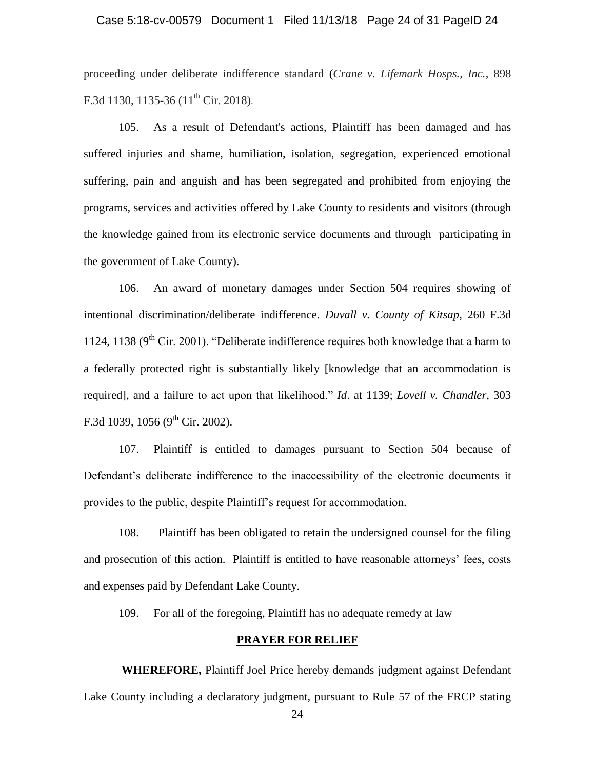#### Case 5:18-cv-00579 Document 1 Filed 11/13/18 Page 24 of 31 PageID 24

proceeding under deliberate indifference standard (*Crane v. Lifemark Hosps., Inc.*, 898 F.3d 1130, 1135-36  $(11<sup>th</sup>$  Cir. 2018).

105. As a result of Defendant's actions, Plaintiff has been damaged and has suffered injuries and shame, humiliation, isolation, segregation, experienced emotional suffering, pain and anguish and has been segregated and prohibited from enjoying the programs, services and activities offered by Lake County to residents and visitors (through the knowledge gained from its electronic service documents and through participating in the government of Lake County).

106. An award of monetary damages under Section 504 requires showing of intentional discrimination/deliberate indifference. *Duvall v. County of Kitsap*, 260 F.3d 1124, 1138 ( $9<sup>th</sup>$  Cir. 2001). "Deliberate indifference requires both knowledge that a harm to a federally protected right is substantially likely [knowledge that an accommodation is required], and a failure to act upon that likelihood." *Id*. at 1139; *Lovell v. Chandler,* 303 F.3d 1039, 1056 (9<sup>th</sup> Cir. 2002).

107. Plaintiff is entitled to damages pursuant to Section 504 because of Defendant"s deliberate indifference to the inaccessibility of the electronic documents it provides to the public, despite Plaintiff"s request for accommodation.

108. Plaintiff has been obligated to retain the undersigned counsel for the filing and prosecution of this action. Plaintiff is entitled to have reasonable attorneys" fees, costs and expenses paid by Defendant Lake County.

109. For all of the foregoing, Plaintiff has no adequate remedy at law

#### **PRAYER FOR RELIEF**

 **WHEREFORE,** Plaintiff Joel Price hereby demands judgment against Defendant Lake County including a declaratory judgment, pursuant to Rule 57 of the FRCP stating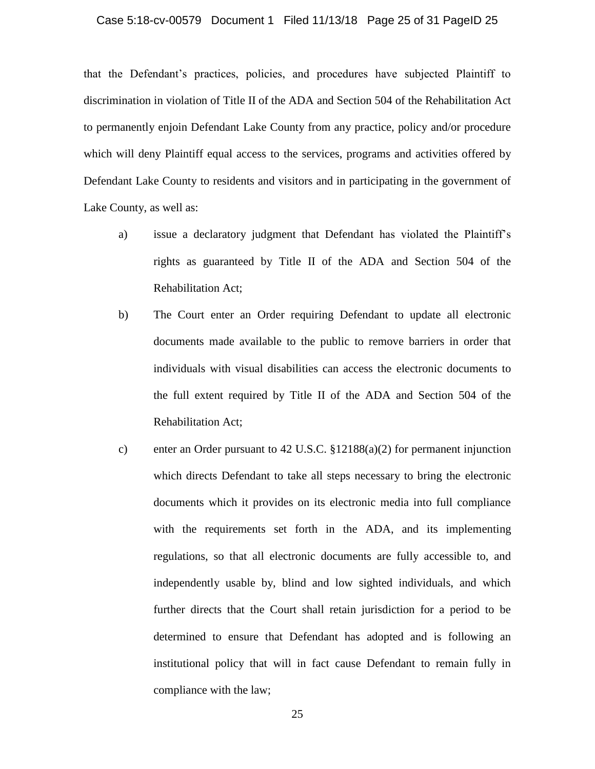#### Case 5:18-cv-00579 Document 1 Filed 11/13/18 Page 25 of 31 PageID 25

that the Defendant"s practices, policies, and procedures have subjected Plaintiff to discrimination in violation of Title II of the ADA and Section 504 of the Rehabilitation Act to permanently enjoin Defendant Lake County from any practice, policy and/or procedure which will deny Plaintiff equal access to the services, programs and activities offered by Defendant Lake County to residents and visitors and in participating in the government of Lake County, as well as:

- a) issue a declaratory judgment that Defendant has violated the Plaintiff"s rights as guaranteed by Title II of the ADA and Section 504 of the Rehabilitation Act;
- b) The Court enter an Order requiring Defendant to update all electronic documents made available to the public to remove barriers in order that individuals with visual disabilities can access the electronic documents to the full extent required by Title II of the ADA and Section 504 of the Rehabilitation Act;
- c) enter an Order pursuant to 42 U.S.C. §12188(a)(2) for permanent injunction which directs Defendant to take all steps necessary to bring the electronic documents which it provides on its electronic media into full compliance with the requirements set forth in the ADA, and its implementing regulations, so that all electronic documents are fully accessible to, and independently usable by, blind and low sighted individuals, and which further directs that the Court shall retain jurisdiction for a period to be determined to ensure that Defendant has adopted and is following an institutional policy that will in fact cause Defendant to remain fully in compliance with the law;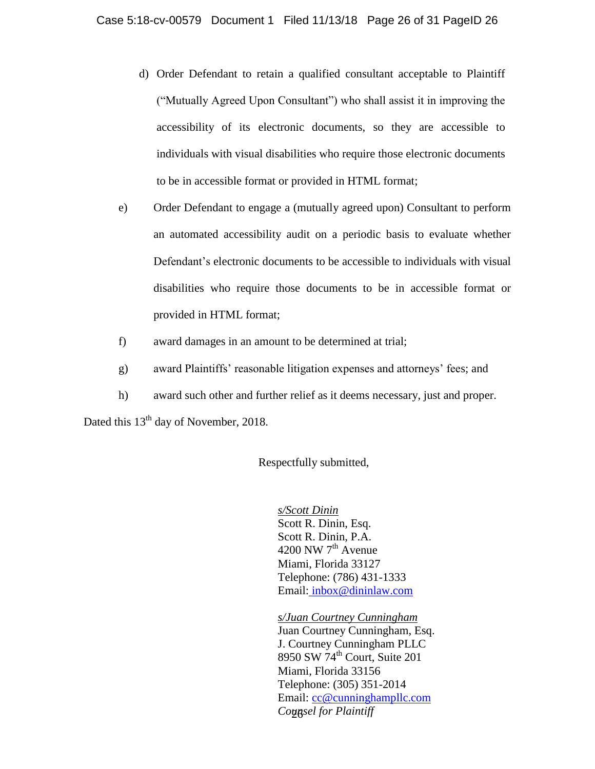- d) Order Defendant to retain a qualified consultant acceptable to Plaintiff ("Mutually Agreed Upon Consultant") who shall assist it in improving the accessibility of its electronic documents, so they are accessible to individuals with visual disabilities who require those electronic documents to be in accessible format or provided in HTML format;
- e) Order Defendant to engage a (mutually agreed upon) Consultant to perform an automated accessibility audit on a periodic basis to evaluate whether Defendant"s electronic documents to be accessible to individuals with visual disabilities who require those documents to be in accessible format or provided in HTML format;
- f) award damages in an amount to be determined at trial;
- g) award Plaintiffs" reasonable litigation expenses and attorneys" fees; and
- h) award such other and further relief as it deems necessary, just and proper.

Dated this 13<sup>th</sup> day of November, 2018.

#### Respectfully submitted,

*s/Scott Dinin* 

Scott R. Dinin, Esq. Scott R. Dinin, P.A. 4200 NW  $7<sup>th</sup>$  Avenue Miami, Florida 33127 Telephone: (786) 431-1333 Email: inbox@dininlaw.com

26 *Counsel for Plaintiff s/Juan Courtney Cunningham*  Juan Courtney Cunningham, Esq. J. Courtney Cunningham PLLC 8950 SW 74<sup>th</sup> Court, Suite 201 Miami, Florida 33156 Telephone: (305) 351-2014 Email: cc@cunninghampllc.com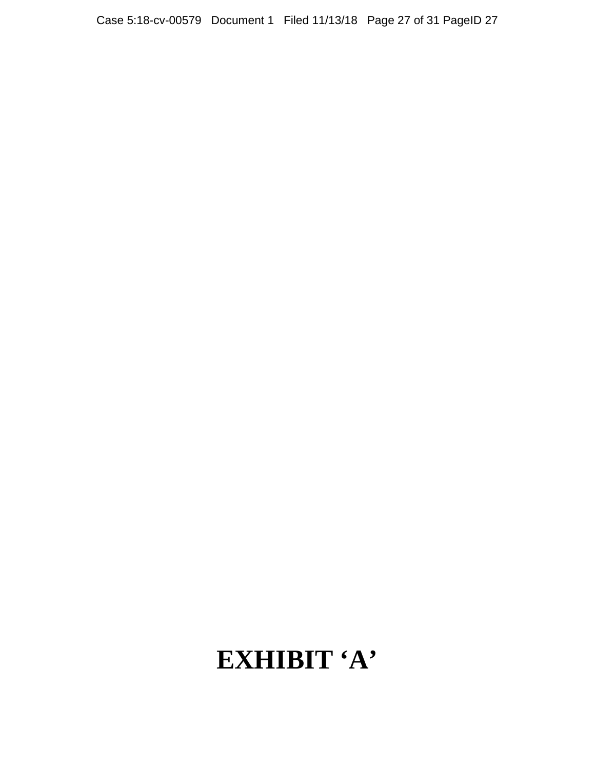# **EXHIBIT 'A'**

Case 5:18-cv-00579 Document 1 Filed 11/13/18 Page 27 of 31 PageID 27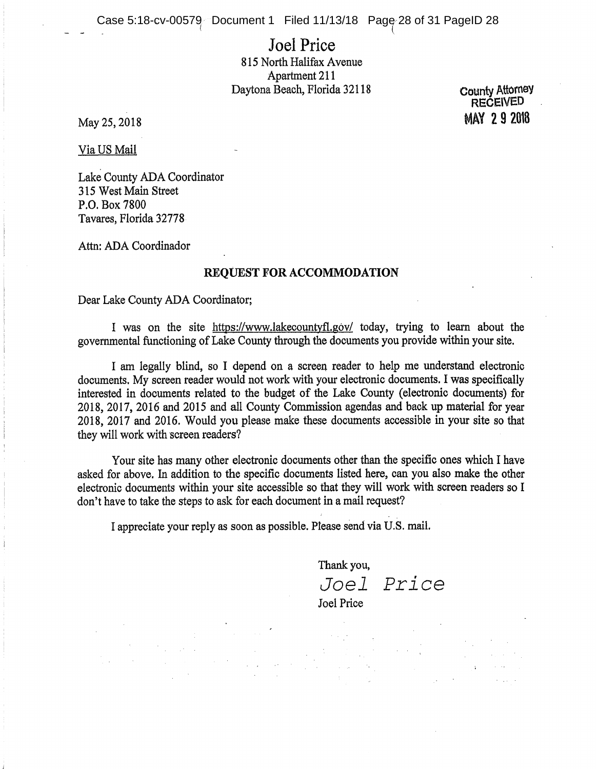Case 5:18-cv-00579 Document 1 Filed 11/13/18 Page 28 of 31 PageID 28

### **Joel Price** 815 North Halifax Avenue Apartment 211 Daytona Beach, Florida 32118

May 25, 2018

**County Attorney** RECEIVED **MAY 292018** 

Via US Mail

Lake County ADA Coordinator 315 West Main Street P.O. Box 7800 Tavares, Florida 32778

Attn: ADA Coordinador

#### **REOUEST FOR ACCOMMODATION**

Dear Lake County ADA Coordinator:

I was on the site https://www.lakecountyfl.gov/ today, trying to learn about the governmental functioning of Lake County through the documents you provide within your site.

I am legally blind, so I depend on a screen reader to help me understand electronic documents. My screen reader would not work with your electronic documents. I was specifically interested in documents related to the budget of the Lake County (electronic documents) for 2018, 2017, 2016 and 2015 and all County Commission agendas and back up material for year 2018, 2017 and 2016. Would you please make these documents accessible in your site so that they will work with screen readers?

Your site has many other electronic documents other than the specific ones which I have asked for above. In addition to the specific documents listed here, can you also make the other electronic documents within your site accessible so that they will work with screen readers so I don't have to take the steps to ask for each document in a mail request?

I appreciate your reply as soon as possible. Please send via U.S. mail.

Thank you,

Joel Price Joel Price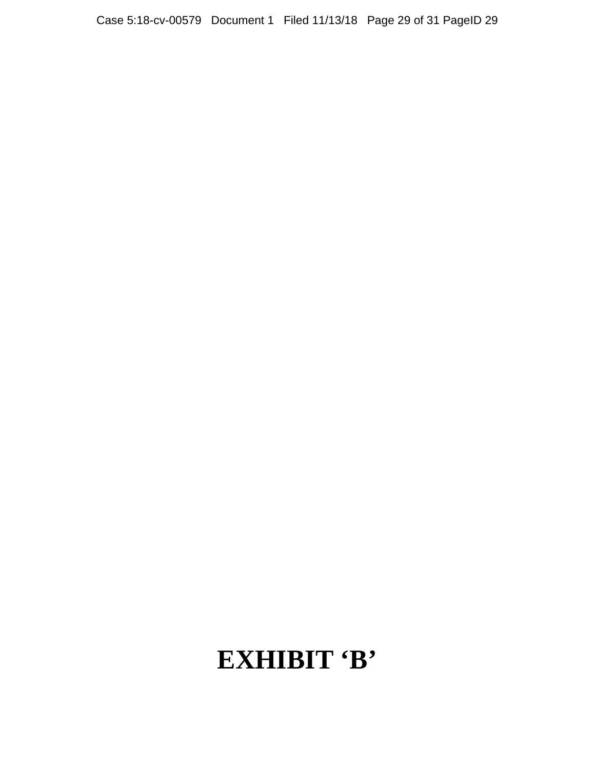# **EXHIBIT 'B'**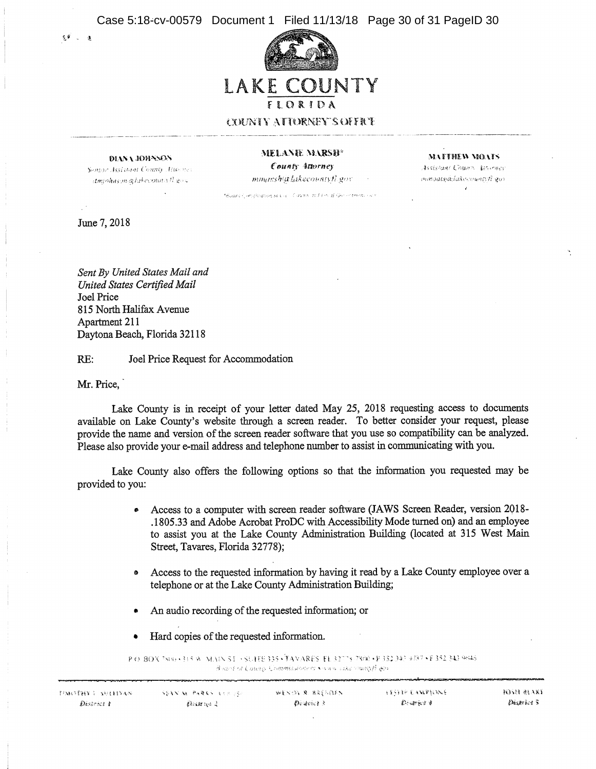Case 5:18-cv-00579 Document 1 Filed 11/13/18 Page 30 of 31 PageID 30



#### DIANA JOHNSON

Semor Assistant County Attorney  $d$ miohnem artakecouns fl. gos.

MELANIE MARSH<sup>\*</sup> County Attorney mmanshatlakecountyfl.gov

**MATTHEW MOATS** 

Assistant Chunn, teterary mmoatsialakeenward gov

- Soant Cleodinghouse Core Core Bill in differentment care

June 7, 2018

 $c \in \mathbb{R}$  a

Sent By United States Mail and United States Certified Mail **Joel Price** 815 North Halifax Avenue Apartment 211 Daytona Beach, Florida 32118

Joel Price Request for Accommodation  $RE:$ 

Mr. Price.

Lake County is in receipt of your letter dated May 25, 2018 requesting access to documents available on Lake County's website through a screen reader. To better consider your request, please provide the name and version of the screen reader software that you use so compatibility can be analyzed. Please also provide your e-mail address and telephone number to assist in communicating with you.

Lake County also offers the following options so that the information you requested may be provided to you:

- Access to a computer with screen reader software (JAWS Screen Reader, version 2018-.1805.33 and Adobe Acrobat ProDC with Accessibility Mode turned on) and an employee to assist you at the Lake County Administration Building (located at 315 West Main Street, Tavares, Florida 32778);
- Access to the requested information by having it read by a Lake County employee over a  $\bullet$ telephone or at the Lake County Administration Building;
- An audio recording of the requested information; or
- Hard copies of the requested information.

P.O. BOX 788) (315 W. MAIN ST. ) SUITE 335 (TAVARES, FL 32775-7300 (P 352,343 4287 (F 352,343 9645) Animal of County Commissioners County with municipal some

| <b>FRANSPHY L. SHEEDAN.</b> | <b>SSAN M. PARKS ASSIST</b> | WENDY R. BRENDEN. | 网络经线 电电极电阻地图    | <b>ROSH BEAKE</b> |  |
|-----------------------------|-----------------------------|-------------------|-----------------|-------------------|--|
| District t                  | 建新闻结构体 梁                    | $0$ and $3$       | $D$ same is $d$ | Dustries S        |  |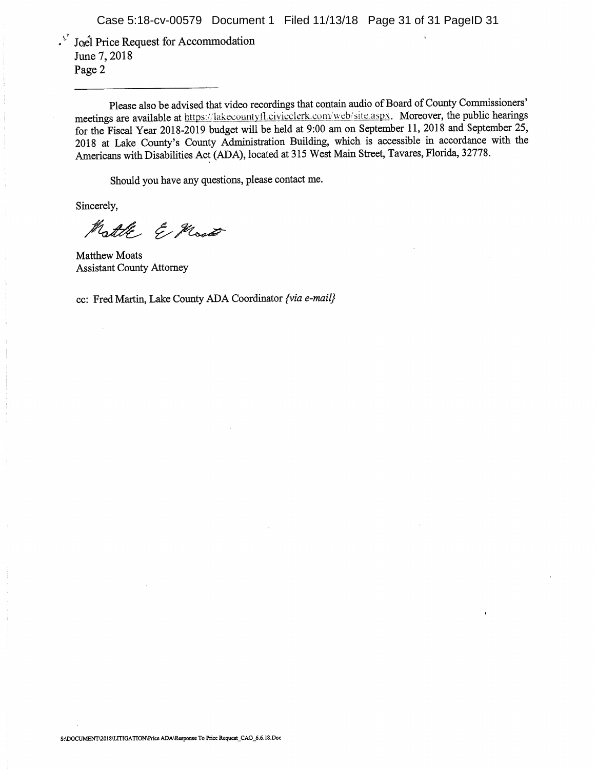<sup>5</sup> Joel Price Request for Accommodation June 7, 2018 Page 2

Please also be advised that video recordings that contain audio of Board of County Commissioners' meetings are available at https://lakecountyfl.civicclerk.com/web/site.aspx. Moreover, the public hearings for the Fiscal Year 2018-2019 budget will be held at 9:00 am on September 11, 2018 and September 25, 2018 at Lake County's County Administration Building, which is accessible in accordance with the Americans with Disabilities Act (ADA), located at 315 West Main Street, Tavares, Florida, 32778.

Should you have any questions, please contact me.

Sincerely,

Mattle E Most

**Matthew Moats Assistant County Attorney** 

cc: Fred Martin, Lake County ADA Coordinator {via e-mail}